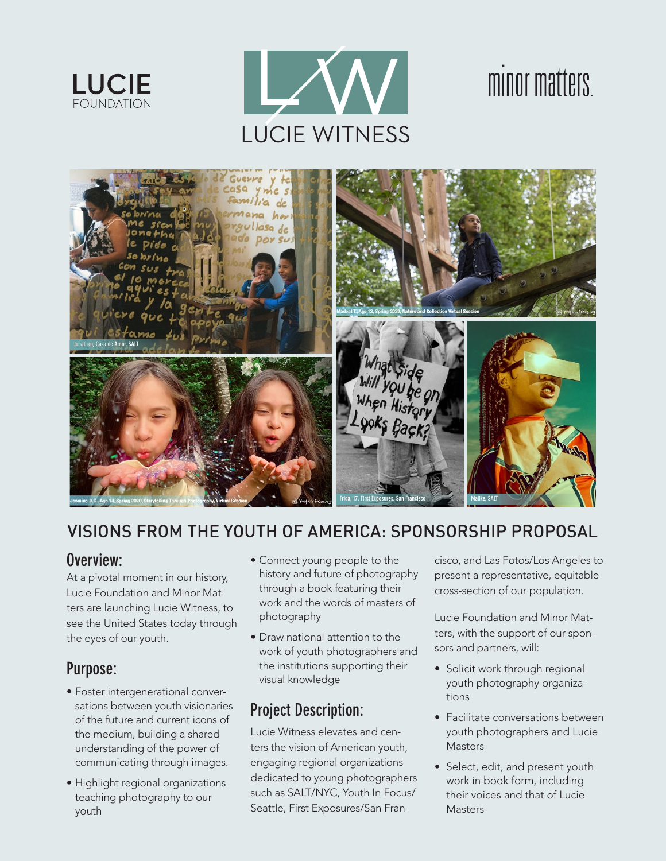



### . minor matters



## VISIONS FROM THE YOUTH OF AMERICA: SPONSORSHIP PROPOSAL

#### **Overview:**

At a pivotal moment in our history, **[** Lucie Foundation and Minor Matters are launching Lucie Witness, if<br>see the United States today throu<br>the eyes of our youth. ters are launching Lucie Witness, to see the United States today through the eyes of our youth.

# **Purpose:**

- Foster intergenerational conversations between youth visionaries of the future and current icons of the medium, building a shared understanding of the power of communicating through images.
- Highlight regional organizations teaching photography to our youth
- Connect young people to the history and future of photography through a book featuring their work and the words of masters of photography
- Draw national attention to the work of youth photographers and the institutions supporting their visual knowledge

## **Project Description:**

Lucie Witness elevates and centers the vision of American youth, engaging regional organizations dedicated to young photographers such as SALT/NYC, Youth In Focus/ Seattle, First Exposures/San Fran-

cisco, and Las Fotos/Los Angeles to present a representative, equitable cross-section of our population.

Lucie Foundation and Minor Matters, with the support of our sponsors and partners, will: Lucie Foundation and Minor Mat-<br>ers, with the support of our spon-<br>ors and partners, will:

- Solicit work through regional youth photography organizations
- Facilitate conversations between youth photographers and Lucie **Masters**
- Select, edit, and present youth work in book form, including their voices and that of Lucie **Masters**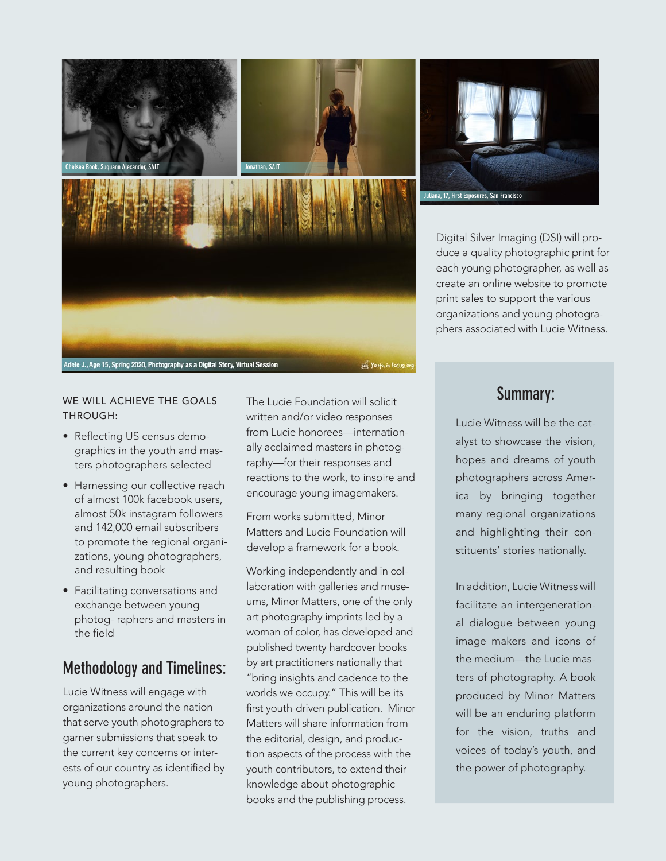

WE WILL ACHIEVE THE GOALS THROUGH:

- Reflecting US census demographics in the youth and masters photographers selected
- Harnessing our collective reach of almost 100k facebook users, almost 50k instagram followers and 142,000 email subscribers to promote the regional organizations, young photographers, and resulting book
- Facilitating conversations and exchange between young photog- raphers and masters in the field

#### **Methodology and Timelines:**

Lucie Witness will engage with organizations around the nation that serve youth photographers to garner submissions that speak to the current key concerns or interests of our country as identified by young photographers.

The Lucie Foundation will solicit written and/or video responses from Lucie honorees—internationally acclaimed masters in photography—for their responses and reactions to the work, to inspire and encourage young imagemakers.

From works submitted, Minor Matters and Lucie Foundation will develop a framework for a book.

Working independently and in collaboration with galleries and museums, Minor Matters, one of the only art photography imprints led by a woman of color, has developed and published twenty hardcover books by art practitioners nationally that "bring insights and cadence to the worlds we occupy." This will be its first youth-driven publication. Minor Matters will share information from the editorial, design, and production aspects of the process with the youth contributors, to extend their knowledge about photographic books and the publishing process.



Digital Silver Imaging (DSI) will produce a quality photographic print for each young photographer, as well as create an online website to promote print sales to support the various organizations and young photographers associated with Lucie Witness.

#### **Summary:**

Lucie Witness will be the catalyst to showcase the vision, hopes and dreams of youth photographers across America by bringing together many regional organizations and highlighting their constituents' stories nationally.

In addition, Lucie Witness will facilitate an intergenerational dialogue between young image makers and icons of the medium—the Lucie masters of photography. A book produced by Minor Matters will be an enduring platform for the vision, truths and voices of today's youth, and the power of photography.

youth in Focus.